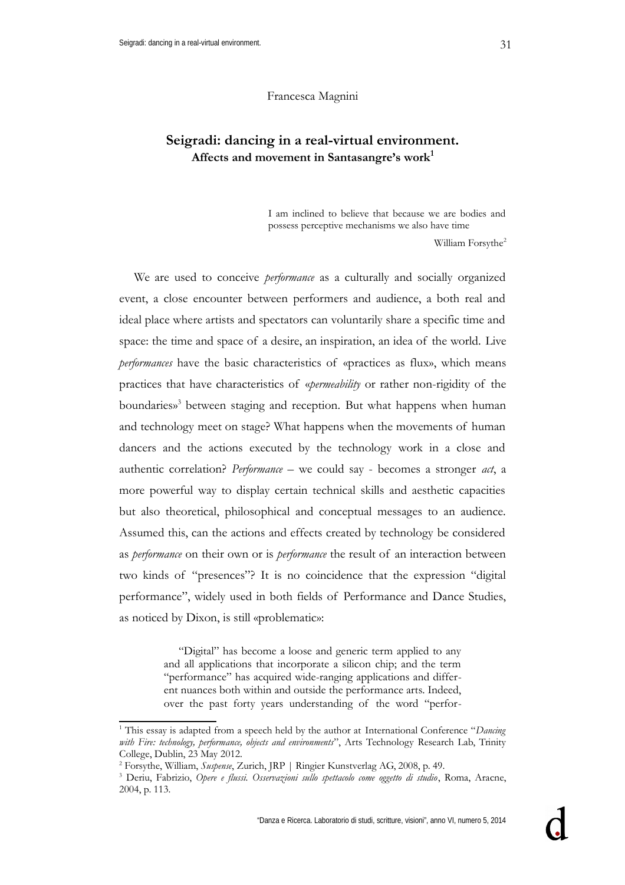## **Seigradi: dancing in a real-virtual environment. Affects and movement in Santasangre's work[1](#page-0-0)**

I am inclined to believe that because we are bodies and possess perceptive mechanisms we also have time

William Forsythe<sup>[2](#page-0-1)</sup>

We are used to conceive *performance* as a culturally and socially organized event, a close encounter between performers and audience, a both real and ideal place where artists and spectators can voluntarily share a specific time and space: the time and space of a desire, an inspiration, an idea of the world. Live *performances* have the basic characteristics of «practices as flux», which means practices that have characteristics of «*permeability* or rather non-rigidity of the boundaries» [3](#page-0-2) between staging and reception. But what happens when human and technology meet on stage? What happens when the movements of human dancers and the actions executed by the technology work in a close and authentic correlation? *Performance –* we could say - becomes a stronger *act*, a more powerful way to display certain technical skills and aesthetic capacities but also theoretical, philosophical and conceptual messages to an audience. Assumed this, can the actions and effects created by technology be considered as *performance* on their own or is *performance* the result of an interaction between two kinds of "presences"? It is no coincidence that the expression "digital performance", widely used in both fields of Performance and Dance Studies, as noticed by Dixon, is still «problematic»:

> "Digital" has become a loose and generic term applied to any and all applications that incorporate a silicon chip; and the term "performance" has acquired wide-ranging applications and different nuances both within and outside the performance arts. Indeed, over the past forty years understanding of the word "perfor-

<span id="page-0-0"></span><sup>&</sup>lt;sup>1</sup> This essay is adapted from a speech held by the author at International Conference "Dancing *with Fire: technology, performance, objects and environments*", Arts Technology Research Lab, Trinity College, Dublin, 23 May 2012.

<span id="page-0-1"></span><sup>2</sup> Forsythe, William, *Suspense*, Zurich, JRP | Ringier Kunstverlag AG, 2008, p. 49.

<span id="page-0-2"></span><sup>3</sup> Deriu, Fabrizio, *Opere e flussi. Osservazioni sullo spettacolo come oggetto di studio*, Roma, Aracne, 2004, p. 113.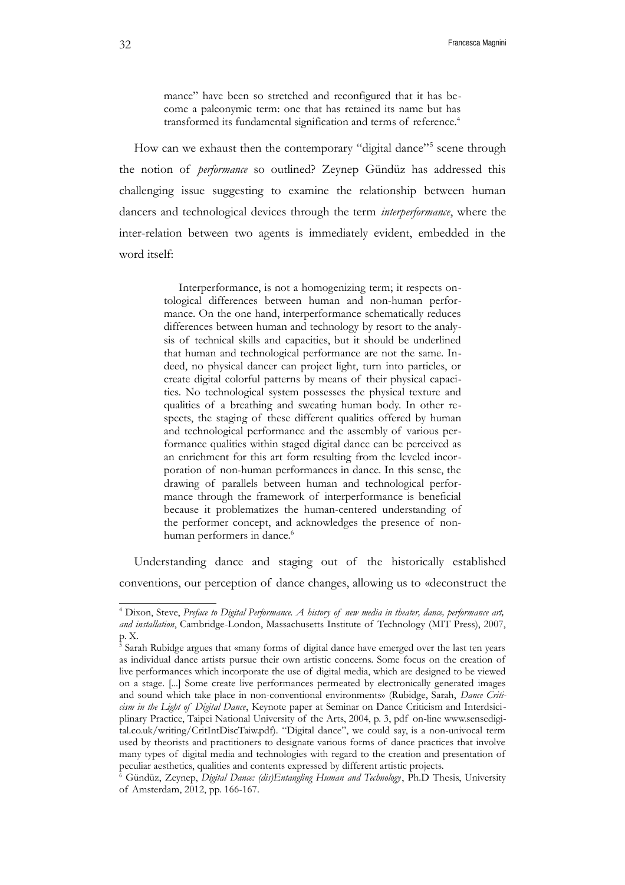mance" have been so stretched and reconfigured that it has become a paleonymic term: one that has retained its name but has transformed its fundamental signification and terms of reference.<sup>[4](#page-1-0)</sup>

How can we exhaust then the contemporary "digital dance"<sup>[5](#page-1-1)</sup> scene through the notion of *performance* so outlined? Zeynep Gündüz has addressed this challenging issue suggesting to examine the relationship between human dancers and technological devices through the term *interperformance*, where the inter-relation between two agents is immediately evident, embedded in the word itself:

> Interperformance, is not a homogenizing term; it respects ontological differences between human and non-human performance. On the one hand, interperformance schematically reduces differences between human and technology by resort to the analysis of technical skills and capacities, but it should be underlined that human and technological performance are not the same. Indeed, no physical dancer can project light, turn into particles, or create digital colorful patterns by means of their physical capacities. No technological system possesses the physical texture and qualities of a breathing and sweating human body. In other respects, the staging of these different qualities offered by human and technological performance and the assembly of various performance qualities within staged digital dance can be perceived as an enrichment for this art form resulting from the leveled incorporation of non-human performances in dance. In this sense, the drawing of parallels between human and technological performance through the framework of interperformance is beneficial because it problematizes the human-centered understanding of the performer concept, and acknowledges the presence of non-human performers in dance.<sup>[6](#page-1-2)</sup>

Understanding dance and staging out of the historically established conventions, our perception of dance changes, allowing us to «deconstruct the

<span id="page-1-0"></span><sup>4</sup> Dixon, Steve, *Preface to Digital Performance. A history of new media in theater, dance, performance art, and installation*, Cambridge-London, Massachusetts Institute of Technology (MIT Press), 2007, p. X.

<span id="page-1-1"></span><sup>&</sup>lt;sup>5</sup> Sarah Rubidge argues that «many forms of digital dance have emerged over the last ten years as individual dance artists pursue their own artistic concerns. Some focus on the creation of live performances which incorporate the use of digital media, which are designed to be viewed on a stage. [...] Some create live performances permeated by electronically generated images and sound which take place in non-conventional environments» (Rubidge, Sarah, *Dance Criticism in the Light of Digital Dance*, Keynote paper at Seminar on Dance Criticism and Interdsiciplinary Practice, Taipei National University of the Arts, 2004, p. 3, pdf on-line www.sensedigital.co.uk/writing/CritIntDiscTaiw.pdf). "Digital dance", we could say, is a non-univocal term used by theorists and practitioners to designate various forms of dance practices that involve many types of digital media and technologies with regard to the creation and presentation of peculiar aesthetics, qualities and contents expressed by different artistic projects.

<span id="page-1-2"></span><sup>6</sup> Gündüz, Zeynep, *Digital Dance: (dis)Entangling Human and Technology*, Ph.D Thesis, University of Amsterdam, 2012, pp. 166-167.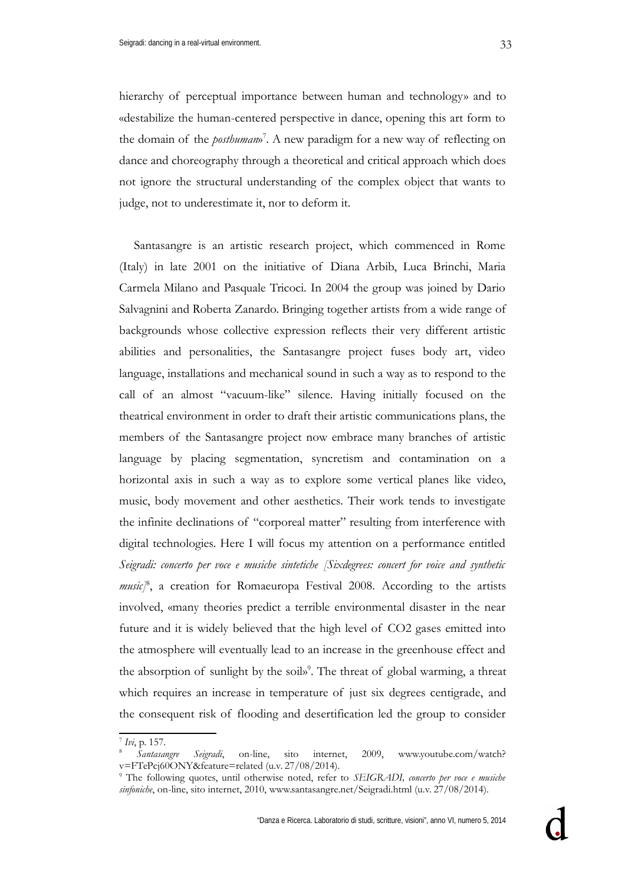hierarchy of perceptual importance between human and technology» and to «destabilize the human-centered perspective in dance, opening this art form to the domain of the *posthuman*» [7](#page-2-0) . A new paradigm for a new way of reflecting on dance and choreography through a theoretical and critical approach which does not ignore the structural understanding of the complex object that wants to judge, not to underestimate it, nor to deform it.

Santasangre is an artistic research project, which commenced in Rome (Italy) in late 2001 on the initiative of Diana Arbib, Luca Brinchi, Maria Carmela Milano and Pasquale Tricoci. In 2004 the group was joined by Dario Salvagnini and Roberta Zanardo. Bringing together artists from a wide range of backgrounds whose collective expression reflects their very different artistic abilities and personalities, the Santasangre project fuses body art, video language, installations and mechanical sound in such a way as to respond to the call of an almost "vacuum-like" silence. Having initially focused on the theatrical environment in order to draft their artistic communications plans, the members of the Santasangre project now embrace many branches of artistic language by placing segmentation, syncretism and contamination on a horizontal axis in such a way as to explore some vertical planes like video, music, body movement and other aesthetics. Their work tends to investigate the infinite declinations of "corporeal matter" resulting from interference with digital technologies. Here I will focus my attention on a performance entitled *Seigradi: concerto per voce e musiche sintetiche [Sixdegrees: concert for voice and synthetic music]*[8](#page-2-1) , a creation for Romaeuropa Festival 2008*.* According to the artists involved, «many theories predict a terrible environmental disaster in the near future and it is widely believed that the high level of CO2 gases emitted into the atmosphere will eventually lead to an increase in the greenhouse effect and the absorption of sunlight by the soil» [9](#page-2-2) . The threat of global warming, a threat which requires an increase in temperature of just six degrees centigrade, and the consequent risk of flooding and desertification led the group to consider

<span id="page-2-0"></span><sup>7</sup> *Ivi*, p. 157.

<span id="page-2-1"></span><sup>8</sup> *Santasangre Seigradi*, on-line, sito internet, 2009, www.youtube.com/watch? v=FTePcj60ONY&feature=related (u.v. 27/08/2014).

<span id="page-2-2"></span><sup>9</sup> The following quotes, until otherwise noted, refer to *SEIGRADI, concerto per voce e musiche sinfoniche*, on-line, sito internet, 2010, www.santasangre.net/Seigradi.html (u.v. 27/08/2014).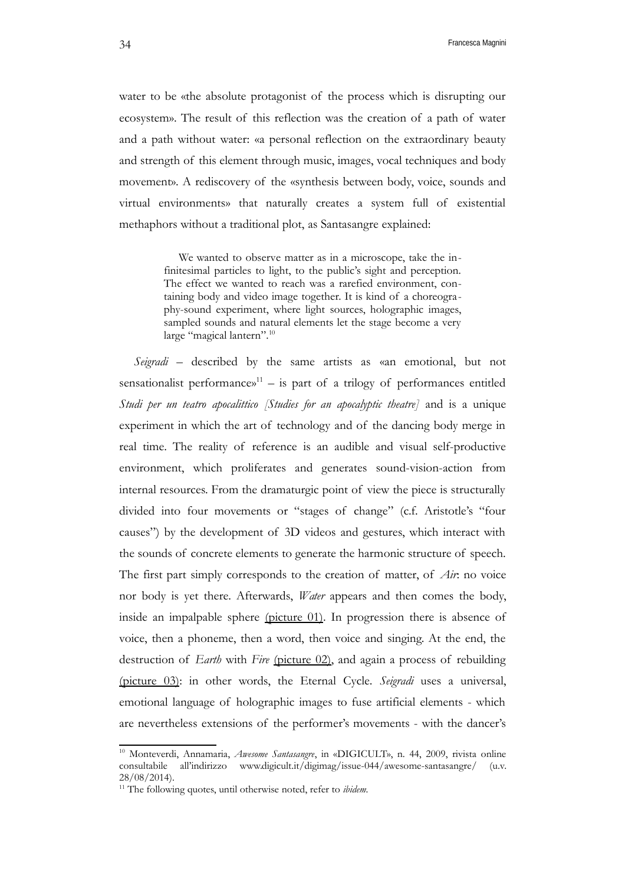water to be «the absolute protagonist of the process which is disrupting our ecosystem». The result of this reflection was the creation of a path of water and a path without water: «a personal reflection on the extraordinary beauty and strength of this element through music, images, vocal techniques and body movement». A rediscovery of the «synthesis between body, voice, sounds and virtual environments» that naturally creates a system full of existential methaphors without a traditional plot, as Santasangre explained:

> We wanted to observe matter as in a microscope, take the infinitesimal particles to light, to the public's sight and perception. The effect we wanted to reach was a rarefied environment, containing body and video image together. It is kind of a choreography-sound experiment, where light sources, holographic images, sampled sounds and natural elements let the stage become a very large "magical lantern".<sup>[10](#page-3-0)</sup>

*Seigradi* – described by the same artists as «an emotional, but not sensationalist performances<sup>[11](#page-3-1)</sup> – is part of a trilogy of performances entitled *Studi per un teatro apocalittico [Studies for an apocalyptic theatre]* and is a unique experiment in which the art of technology and of the dancing body merge in real time. The reality of reference is an audible and visual self-productive environment, which proliferates and generates sound-vision-action from internal resources. From the dramaturgic point of view the piece is structurally divided into four movements or "stages of change" (c.f. Aristotle's "four causes") by the development of 3D videos and gestures, which interact with the sounds of concrete elements to generate the harmonic structure of speech. The first part simply corresponds to the creation of matter, of *Air*: no voice nor body is yet there. Afterwards, *Water* appears and then comes the body, inside an impalpable sphere (picture 01). In progression there is absence of voice, then a phoneme, then a word, then voice and singing. At the end, the destruction of *Earth* with *Fire* (picture 02), and again a process of rebuilding (picture 03): in other words, the Eternal Cycle. *Seigradi* uses a universal, emotional language of holographic images to fuse artificial elements - which are nevertheless extensions of the performer's movements - with the dancer's

<span id="page-3-0"></span><sup>10</sup> Monteverdi, Annamaria, *Awesome Santasangre*, in «DIGICULT», n. 44, 2009, rivista online consultabile all'indirizzo www.digicult.it/digimag/issue-044/awesome-santasangre/ (u.v. 28/08/2014).

<span id="page-3-1"></span><sup>&</sup>lt;sup>11</sup> The following quotes, until otherwise noted, refer to *ibidem*.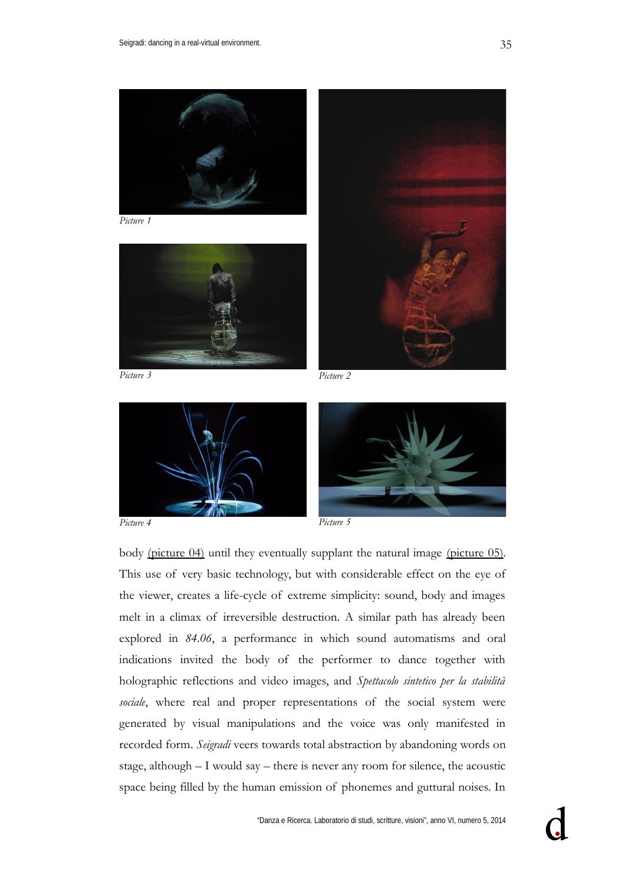



*Picture 4 Picture 5*

body (picture 04) until they eventually supplant the natural image (picture 05). This use of very basic technology, but with considerable effect on the eye of the viewer, creates a life-cycle of extreme simplicity: sound, body and images melt in a climax of irreversible destruction. A similar path has already been explored in *84.06*, a performance in which sound automatisms and oral indications invited the body of the performer to dance together with holographic reflections and video images, and *Spettacolo sintetico per la stabilità sociale*, where real and proper representations of the social system were generated by visual manipulations and the voice was only manifested in recorded form. *Seigradi* veers towards total abstraction by abandoning words on stage, although – I would say – there is never any room for silence, the acoustic space being filled by the human emission of phonemes and guttural noises. In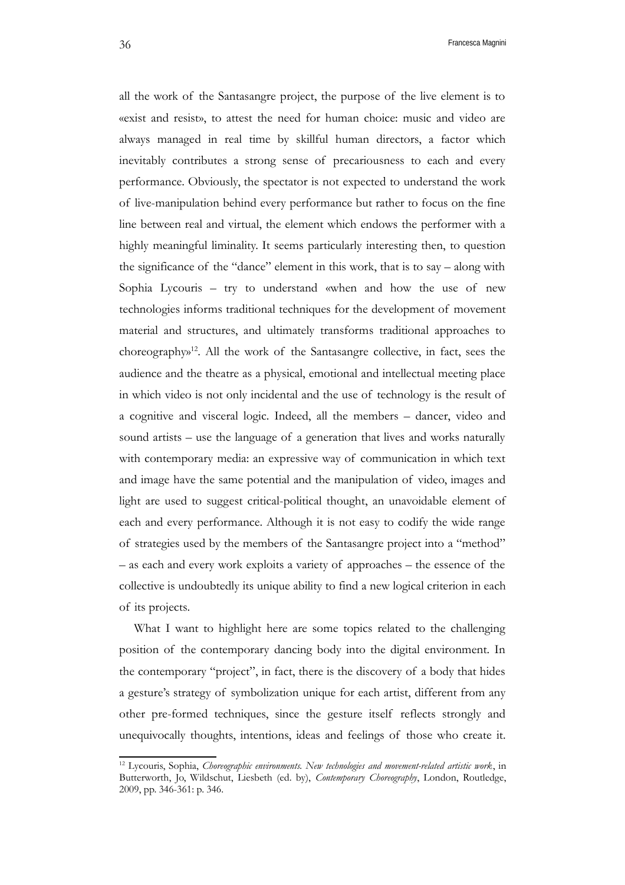all the work of the Santasangre project, the purpose of the live element is to «exist and resist», to attest the need for human choice: music and video are always managed in real time by skillful human directors, a factor which inevitably contributes a strong sense of precariousness to each and every performance. Obviously, the spectator is not expected to understand the work of live-manipulation behind every performance but rather to focus on the fine line between real and virtual, the element which endows the performer with a highly meaningful liminality. It seems particularly interesting then, to question the significance of the "dance" element in this work, that is to say – along with Sophia Lycouris – try to understand «when and how the use of new technologies informs traditional techniques for the development of movement material and structures, and ultimately transforms traditional approaches to choreography» [12](#page-5-0). All the work of the Santasangre collective, in fact, sees the audience and the theatre as a physical, emotional and intellectual meeting place in which video is not only incidental and the use of technology is the result of a cognitive and visceral logic. Indeed, all the members – dancer, video and sound artists – use the language of a generation that lives and works naturally with contemporary media: an expressive way of communication in which text and image have the same potential and the manipulation of video, images and light are used to suggest critical-political thought, an unavoidable element of each and every performance. Although it is not easy to codify the wide range of strategies used by the members of the Santasangre project into a "method" – as each and every work exploits a variety of approaches – the essence of the collective is undoubtedly its unique ability to find a new logical criterion in each of its projects.

What I want to highlight here are some topics related to the challenging position of the contemporary dancing body into the digital environment. In the contemporary "project", in fact, there is the discovery of a body that hides a gesture's strategy of symbolization unique for each artist, different from any other pre-formed techniques, since the gesture itself reflects strongly and unequivocally thoughts, intentions, ideas and feelings of those who create it.

<span id="page-5-0"></span><sup>12</sup> Lycouris, Sophia, *Choreographic environments. New technologies and movement-related artistic work*, in Butterworth, Jo, Wildschut, Liesbeth (ed. by), *Contemporary Choreography*, London, Routledge, 2009, pp. 346-361: p. 346.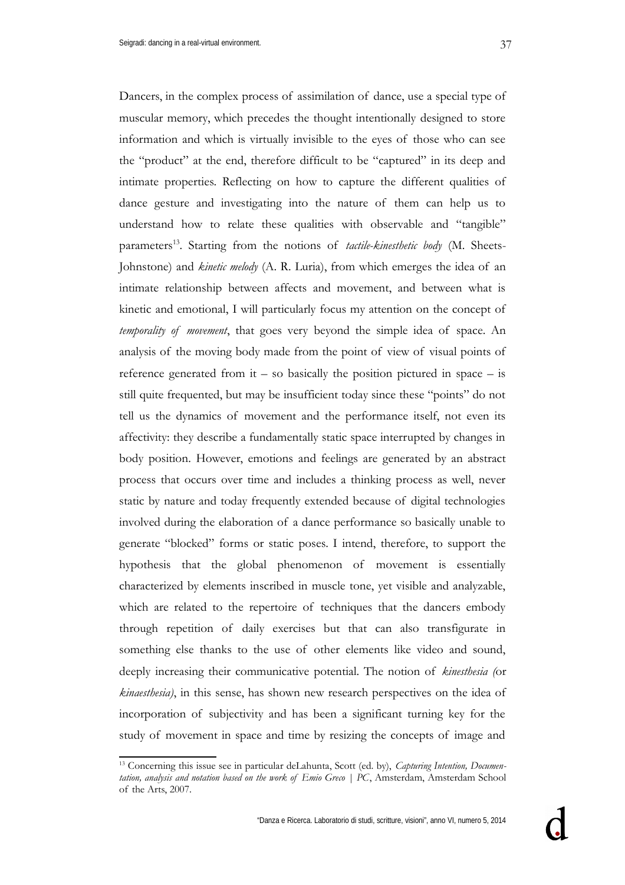Dancers, in the complex process of assimilation of dance, use a special type of muscular memory, which precedes the thought intentionally designed to store information and which is virtually invisible to the eyes of those who can see the "product" at the end, therefore difficult to be "captured" in its deep and intimate properties. Reflecting on how to capture the different qualities of dance gesture and investigating into the nature of them can help us to understand how to relate these qualities with observable and "tangible" parameters<sup>[13](#page-6-0)</sup>. Starting from the notions of *tactile-kinesthetic body* (M. Sheets-Johnstone) and *kinetic melody* (A. R. Luria), from which emerges the idea of an intimate relationship between affects and movement, and between what is kinetic and emotional, I will particularly focus my attention on the concept of *temporality of movement*, that goes very beyond the simple idea of space. An analysis of the moving body made from the point of view of visual points of reference generated from  $it - so$  basically the position pictured in space  $-$  is still quite frequented, but may be insufficient today since these "points" do not tell us the dynamics of movement and the performance itself, not even its affectivity: they describe a fundamentally static space interrupted by changes in body position. However, emotions and feelings are generated by an abstract process that occurs over time and includes a thinking process as well, never static by nature and today frequently extended because of digital technologies involved during the elaboration of a dance performance so basically unable to generate "blocked" forms or static poses. I intend, therefore, to support the hypothesis that the global phenomenon of movement is essentially characterized by elements inscribed in muscle tone, yet visible and analyzable, which are related to the repertoire of techniques that the dancers embody through repetition of daily exercises but that can also transfigurate in something else thanks to the use of other elements like video and sound, deeply increasing their communicative potential. The notion of *kinesthesia (*or *kinaesthesia)*, in this sense, has shown new research perspectives on the idea of incorporation of subjectivity and has been a significant turning key for the study of movement in space and time by resizing the concepts of image and

<span id="page-6-0"></span><sup>13</sup> Concerning this issue see in particular deLahunta, Scott (ed. by), *Capturing Intention, Documentation, analysis and notation based on the work of Emio Greco | PC*, Amsterdam, Amsterdam School of the Arts, 2007.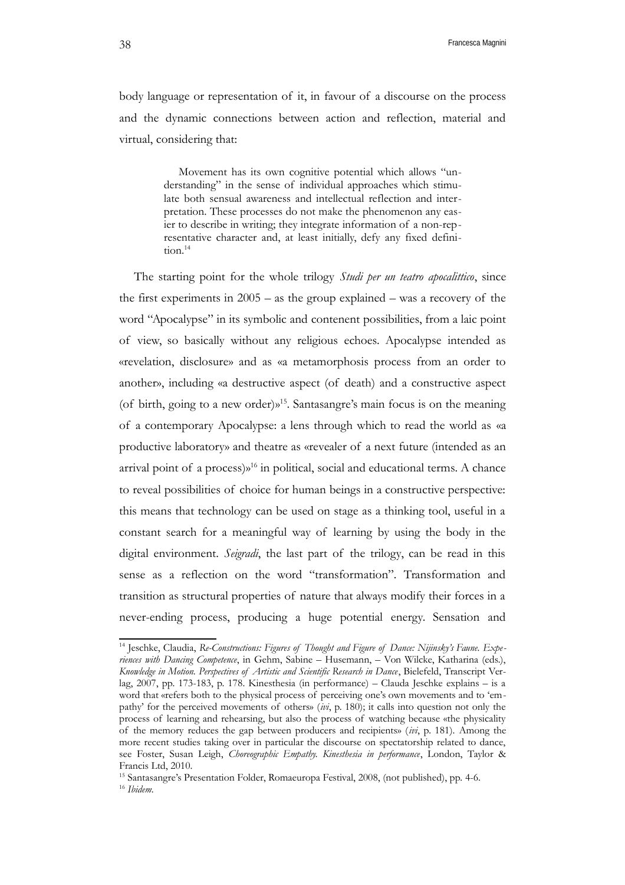body language or representation of it, in favour of a discourse on the process and the dynamic connections between action and reflection, material and virtual, considering that:

> Movement has its own cognitive potential which allows "understanding" in the sense of individual approaches which stimulate both sensual awareness and intellectual reflection and interpretation. These processes do not make the phenomenon any easier to describe in writing; they integrate information of a non-representative character and, at least initially, defy any fixed defini-tion.<sup>[14](#page-7-0)</sup>

The starting point for the whole trilogy *Studi per un teatro apocalittico*, since the first experiments in  $2005 -$  as the group explained – was a recovery of the word "Apocalypse" in its symbolic and contenent possibilities, from a laic point of view, so basically without any religious echoes. Apocalypse intended as «revelation, disclosure» and as «a metamorphosis process from an order to another», including «a destructive aspect (of death) and a constructive aspect (of birth, going to a new order)» [15](#page-7-1). Santasangre's main focus is on the meaning of a contemporary Apocalypse: a lens through which to read the world as «a productive laboratory» and theatre as «revealer of a next future (intended as an arrival point of a process)» [16](#page-7-2) in political, social and educational terms. A chance to reveal possibilities of choice for human beings in a constructive perspective: this means that technology can be used on stage as a thinking tool, useful in a constant search for a meaningful way of learning by using the body in the digital environment. *Seigradi*, the last part of the trilogy, can be read in this sense as a reflection on the word "transformation". Transformation and transition as structural properties of nature that always modify their forces in a never-ending process, producing a huge potential energy. Sensation and

<span id="page-7-0"></span><sup>&</sup>lt;sup>14</sup> Jeschke, Claudia, Re-Constructions: Figures of Thought and Figure of Dance: Nijinsky's Faune. Expe*riences with Dancing Competence*, in Gehm, Sabine – Husemann, – Von Wilcke, Katharina (eds.), *Knowledge in Motion. Perspectives of Artistic and Scientific Research in Dance*, Bielefeld, Transcript Verlag, 2007, pp. 173-183, p. 178. Kinesthesia (in performance) – Clauda Jeschke explains – is a word that «refers both to the physical process of perceiving one's own movements and to 'empathy' for the perceived movements of others» (*ivi*, p. 180); it calls into question not only the process of learning and rehearsing, but also the process of watching because «the physicality of the memory reduces the gap between producers and recipients» (*ivi*, p. 181). Among the more recent studies taking over in particular the discourse on spectatorship related to dance, see Foster, Susan Leigh, *Choreographic Empathy. Kinesthesia in performance*, London, Taylor & Francis Ltd, 2010.

<span id="page-7-2"></span><span id="page-7-1"></span><sup>&</sup>lt;sup>15</sup> Santasangre's Presentation Folder, Romaeuropa Festival, 2008, (not published), pp. 4-6. <sup>16</sup> *Ibidem.*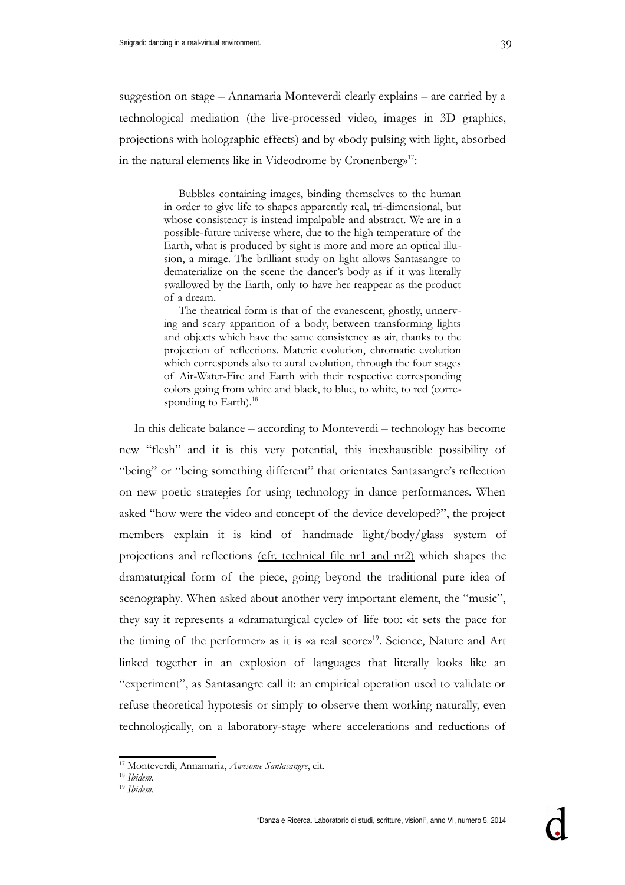suggestion on stage – Annamaria Monteverdi clearly explains – are carried by a technological mediation (the live-processed video, images in 3D graphics, projections with holographic effects) and by «body pulsing with light, absorbed in the natural elements like in Videodrome by Cronenberg»<sup>[17](#page-8-0)</sup>:

> Bubbles containing images, binding themselves to the human in order to give life to shapes apparently real, tri-dimensional, but whose consistency is instead impalpable and abstract. We are in a possible-future universe where, due to the high temperature of the Earth, what is produced by sight is more and more an optical illusion, a mirage. The brilliant study on light allows Santasangre to dematerialize on the scene the dancer's body as if it was literally swallowed by the Earth, only to have her reappear as the product of a dream.

> The theatrical form is that of the evanescent, ghostly, unnerving and scary apparition of a body, between transforming lights and objects which have the same consistency as air, thanks to the projection of reflections. Materic evolution, chromatic evolution which corresponds also to aural evolution, through the four stages of Air-Water-Fire and Earth with their respective corresponding colors going from white and black, to blue, to white, to red (corre-sponding to Earth).<sup>[18](#page-8-1)</sup>

In this delicate balance – according to Monteverdi – technology has become new "flesh" and it is this very potential, this inexhaustible possibility of "being" or "being something different" that orientates Santasangre's reflection on new poetic strategies for using technology in dance performances. When asked "how were the video and concept of the device developed?", the project members explain it is kind of handmade light/body/glass system of projections and reflections (cfr. technical file nr1 and nr2) which shapes the dramaturgical form of the piece, going beyond the traditional pure idea of scenography. When asked about another very important element, the "music", they say it represents a «dramaturgical cycle» of life too: «it sets the pace for the timing of the performer» as it is «a real score» [19](#page-8-2) . Science, Nature and Art linked together in an explosion of languages that literally looks like an "experiment", as Santasangre call it: an empirical operation used to validate or refuse theoretical hypotesis or simply to observe them working naturally, even technologically, on a laboratory-stage where accelerations and reductions of

<span id="page-8-0"></span><sup>17</sup> Monteverdi, Annamaria, *Awesome Santasangre*, cit.

<span id="page-8-1"></span><sup>18</sup> *Ibidem.*

<span id="page-8-2"></span><sup>19</sup> *Ibidem.*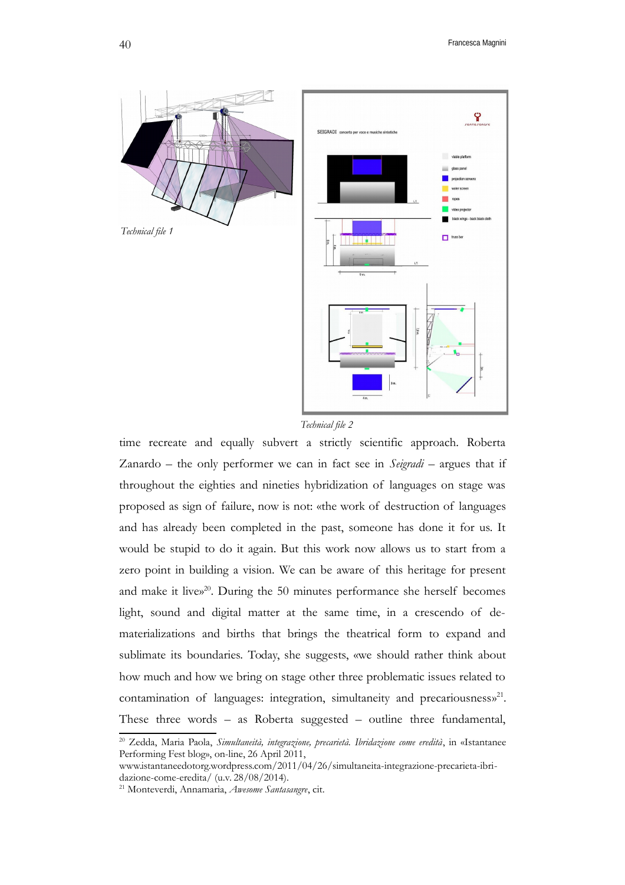

*Technical file 2*

time recreate and equally subvert a strictly scientific approach. Roberta Zanardo – the only performer we can in fact see in *Seigradi* – argues that if throughout the eighties and nineties hybridization of languages on stage was proposed as sign of failure, now is not: «the work of destruction of languages and has already been completed in the past, someone has done it for us. It would be stupid to do it again. But this work now allows us to start from a zero point in building a vision. We can be aware of this heritage for present and make it live» [20](#page-9-0) . During the 50 minutes performance she herself becomes light, sound and digital matter at the same time, in a crescendo of dematerializations and births that brings the theatrical form to expand and sublimate its boundaries. Today, she suggests, «we should rather think about how much and how we bring on stage other three problematic issues related to contamination of languages: integration, simultaneity and precariousness»<sup>[21](#page-9-1)</sup>. These three words – as Roberta suggested – outline three fundamental,

<span id="page-9-0"></span><sup>20</sup> Zedda, Maria Paola, *Simultaneità, integrazione, precarietà. Ibridazione come eredità*, in «Istantanee Performing Fest blog», on-line, 26 April 2011,

www.istantaneedotorg.wordpress.com/2011/04/26/simultaneita-integrazione-precarieta-ibridazione-come-eredita/ (u.v. 28/08/2014).

<span id="page-9-1"></span><sup>21</sup> Monteverdi, Annamaria, *Awesome Santasangre*, cit.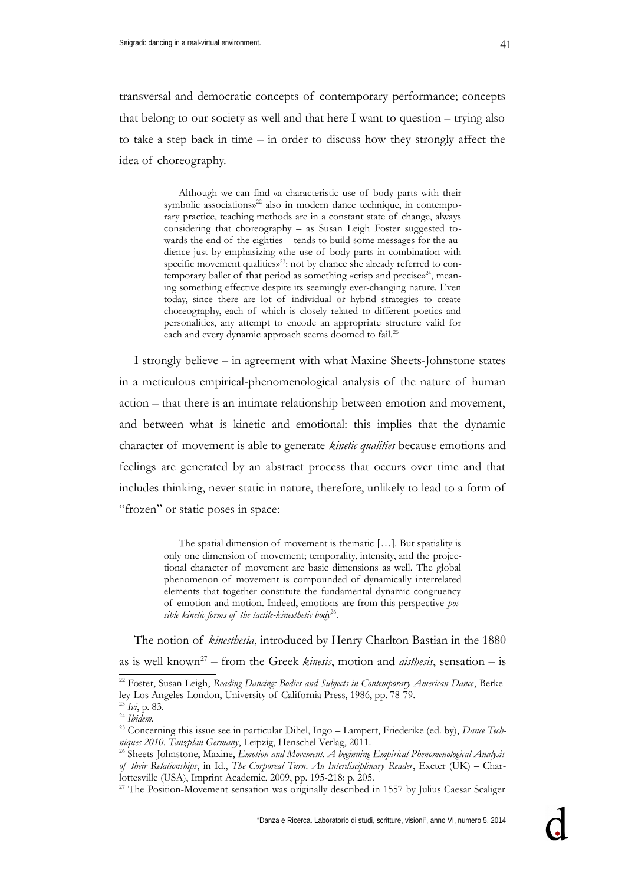transversal and democratic concepts of contemporary performance; concepts that belong to our society as well and that here I want to question – trying also to take a step back in time – in order to discuss how they strongly affect the idea of choreography.

> Although we can find «a characteristic use of body parts with their symbolic associations»<sup>[22](#page-10-0)</sup> also in modern dance technique, in contemporary practice, teaching methods are in a constant state of change, always considering that choreography – as Susan Leigh Foster suggested towards the end of the eighties – tends to build some messages for the audience just by emphasizing «the use of body parts in combination with specific movement qualities»<sup>[23](#page-10-1)</sup>: not by chance she already referred to con-temporary ballet of that period as something «crisp and precise»<sup>[24](#page-10-2)</sup>, meaning something effective despite its seemingly ever-changing nature. Even today, since there are lot of individual or hybrid strategies to create choreography, each of which is closely related to different poetics and personalities, any attempt to encode an appropriate structure valid for each and every dynamic approach seems doomed to fail.<sup>[25](#page-10-3)</sup>

I strongly believe – in agreement with what Maxine Sheets-Johnstone states in a meticulous empirical-phenomenological analysis of the nature of human action – that there is an intimate relationship between emotion and movement, and between what is kinetic and emotional: this implies that the dynamic character of movement is able to generate *kinetic qualities* because emotions and feelings are generated by an abstract process that occurs over time and that includes thinking, never static in nature, therefore, unlikely to lead to a form of "frozen" or static poses in space:

> The spatial dimension of movement is thematic [...]. But spatiality is only one dimension of movement; temporality, intensity, and the projectional character of movement are basic dimensions as well. The global phenomenon of movement is compounded of dynamically interrelated elements that together constitute the fundamental dynamic congruency of emotion and motion. Indeed, emotions are from this perspective *possible kinetic forms of the tactile-kinesthetic body*[26](#page-10-4) .

The notion of *kinesthesia*, introduced by Henry Charlton Bastian in the 1880 as is well known[27](#page-10-5) – from the Greek *kinesis*, motion and *aisthesis*, sensation – is

<span id="page-10-0"></span><sup>22</sup> Foster, Susan Leigh, *Reading Dancing: Bodies and Subjects in Contemporary American Dance*, Berkeley-Los Angeles-London, University of California Press, 1986, pp. 78-79.

<span id="page-10-1"></span><sup>23</sup> *Ivi*, p. 83.

<span id="page-10-2"></span><sup>24</sup> *Ibidem.*

<span id="page-10-3"></span><sup>25</sup> Concerning this issue see in particular Dihel, Ingo – Lampert, Friederike (ed. by), *Dance Techniques 2010. Tanzplan Germany*, Leipzig, Henschel Verlag, 2011.

<span id="page-10-4"></span><sup>26</sup> Sheets-Johnstone, Maxine, *Emotion and Movement. A beginning Empirical-Phenomenological Analysis of their Relationships*, in Id., *The Corporeal Turn. An Interdisciplinary Reader*, Exeter (UK) – Charlottesville (USA), Imprint Academic, 2009, pp. 195-218: p. 205.

<span id="page-10-5"></span><sup>&</sup>lt;sup>27</sup> The Position-Movement sensation was originally described in 1557 by Julius Caesar Scaliger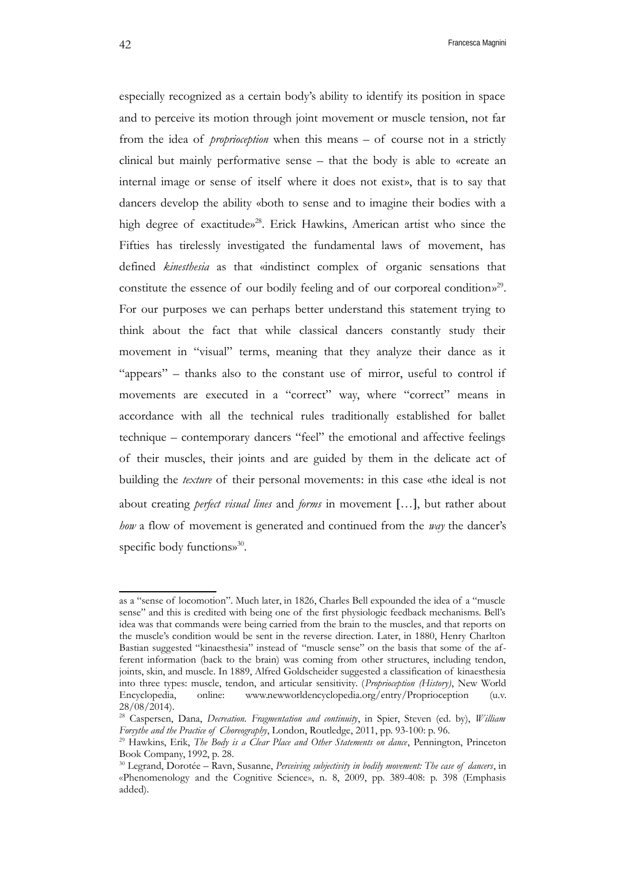especially recognized as a certain body's ability to identify its position in space and to perceive its motion through joint movement or muscle tension, not far from the idea of *proprioception* when this means – of course not in a strictly clinical but mainly performative sense – that the body is able to «create an internal image or sense of itself where it does not exist», that is to say that dancers develop the ability «both to sense and to imagine their bodies with a high degree of exactitude»<sup>[28](#page-11-0)</sup>. Erick Hawkins, American artist who since the Fifties has tirelessly investigated the fundamental laws of movement, has defined *kinesthesia* as that «indistinct complex of organic sensations that constitute the essence of our bodily feeling and of our corporeal condition»<sup>[29](#page-11-1)</sup>. For our purposes we can perhaps better understand this statement trying to think about the fact that while classical dancers constantly study their movement in "visual" terms, meaning that they analyze their dance as it "appears" – thanks also to the constant use of mirror, useful to control if movements are executed in a "correct" way, where "correct" means in accordance with all the technical rules traditionally established for ballet technique – contemporary dancers "feel" the emotional and affective feelings of their muscles, their joints and are guided by them in the delicate act of building the *texture* of their personal movements: in this case «the ideal is not about creating *perfect visual lines* and *forms* in movement …, but rather about *how* a flow of movement is generated and continued from the *way* the dancer's specific body functions»<sup>[30](#page-11-2)</sup>.

as a "sense of locomotion". Much later, in 1826, Charles Bell expounded the idea of a "muscle sense" and this is credited with being one of the first physiologic feedback mechanisms. Bell's idea was that commands were being carried from the brain to the muscles, and that reports on the muscle's condition would be sent in the reverse direction. Later, in 1880, Henry Charlton Bastian suggested "kinaesthesia" instead of "muscle sense" on the basis that some of the afferent information (back to the brain) was coming from other structures, including tendon, joints, skin, and muscle. In 1889, Alfred Goldscheider suggested a classification of kinaesthesia into three types: muscle, tendon, and articular sensitivity. (*Proprioception (History)*, New World Encyclopedia, online: www.newworldencyclopedia.org/entry/Proprioception (u.v. 28/08/2014).

<span id="page-11-0"></span><sup>28</sup> Caspersen, Dana, *Decreation. Fragmentation and continuity*, in Spier, Steven (ed. by), *William Forsythe and the Practice of Choreography*, London, Routledge, 2011, pp. 93-100: p. 96.

<span id="page-11-1"></span><sup>29</sup> Hawkins, Erik, *The Body is a Clear Place and Other Statements on dance*, Pennington, Princeton Book Company, 1992, p. 28.

<span id="page-11-2"></span><sup>30</sup> Legrand, Dorotée – Ravn, Susanne, *Perceiving subjectivity in bodily movement: The case of dancers*, in «Phenomenology and the Cognitive Science», n. 8, 2009, pp. 389-408: p. 398 (Emphasis added).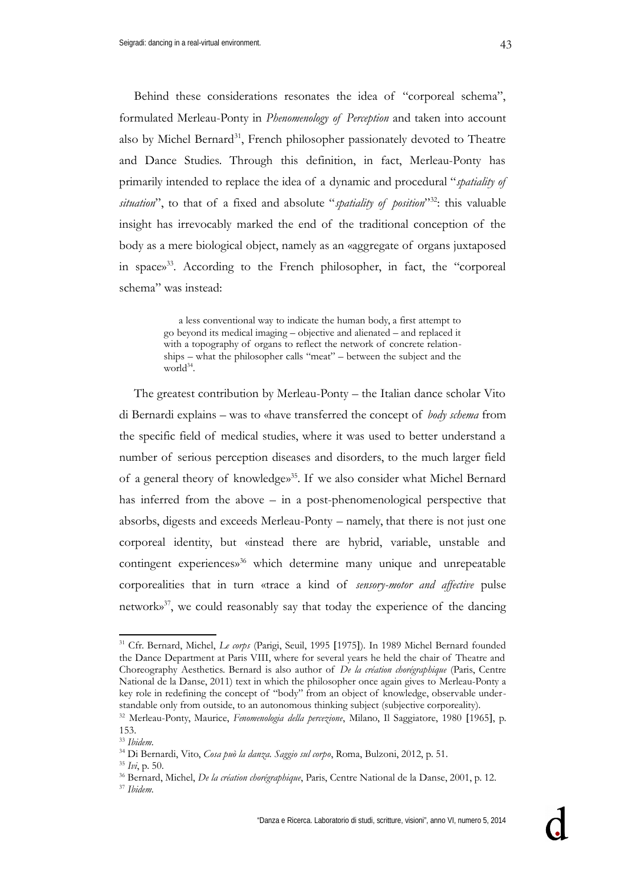Behind these considerations resonates the idea of "corporeal schema", formulated Merleau-Ponty in *Phenomenology of Perception* and taken into account also by Michel Bernard<sup>[31](#page-12-0)</sup>, French philosopher passionately devoted to Theatre and Dance Studies. Through this definition, in fact, Merleau-Ponty has primarily intended to replace the idea of a dynamic and procedural "*spatiality of situation*", to that of a fixed and absolute "*spatiality of position*" [32](#page-12-1): this valuable insight has irrevocably marked the end of the traditional conception of the body as a mere biological object, namely as an «aggregate of organs juxtaposed in space» [33](#page-12-2) . According to the French philosopher, in fact, the "corporeal schema" was instead:

> a less conventional way to indicate the human body, a first attempt to go beyond its medical imaging – objective and alienated – and replaced it with a topography of organs to reflect the network of concrete relationships – what the philosopher calls "meat" – between the subject and the world<sup>[34](#page-12-3)</sup>.

The greatest contribution by Merleau-Ponty – the Italian dance scholar Vito di Bernardi explains – was to «have transferred the concept of *body schema* from the specific field of medical studies, where it was used to better understand a number of serious perception diseases and disorders, to the much larger field of a general theory of knowledge» [35](#page-12-4) . If we also consider what Michel Bernard has inferred from the above – in a post-phenomenological perspective that absorbs, digests and exceeds Merleau-Ponty – namely, that there is not just one corporeal identity, but «instead there are hybrid, variable, unstable and contingent experiences» [36](#page-12-5) which determine many unique and unrepeatable corporealities that in turn «trace a kind of *sensory-motor and affective* pulse network» [37](#page-12-6) , we could reasonably say that today the experience of the dancing

<span id="page-12-0"></span><sup>31</sup> Cfr. Bernard, Michel, *Le corps* (Parigi, Seuil, 1995 1975). In 1989 Michel Bernard founded the Dance Department at Paris VIII, where for several years he held the chair of Theatre and Choreography Aesthetics. Bernard is also author of *De la création chorégraphique* (Paris, Centre National de la Danse, 2011) text in which the philosopher once again gives to Merleau-Ponty a key role in redefining the concept of "body" from an object of knowledge, observable understandable only from outside, to an autonomous thinking subject (subjective corporeality).

<span id="page-12-1"></span><sup>&</sup>lt;sup>32</sup> Merleau-Ponty, Maurice, *Fenomenologia della percezione*, Milano, Il Saggiatore, 1980 [1965], p. 153.

<span id="page-12-2"></span><sup>33</sup> *Ibidem.*

<span id="page-12-3"></span><sup>34</sup> Di Bernardi, Vito, *Cosa può la danza. Saggio sul corpo*, Roma, Bulzoni, 2012, p. 51.

<span id="page-12-4"></span><sup>35</sup> *Ivi*, p. 50.

<span id="page-12-5"></span><sup>36</sup> Bernard, Michel, *De la création chorégraphique*, Paris, Centre National de la Danse, 2001, p. 12.

<span id="page-12-6"></span><sup>37</sup> *Ibidem.*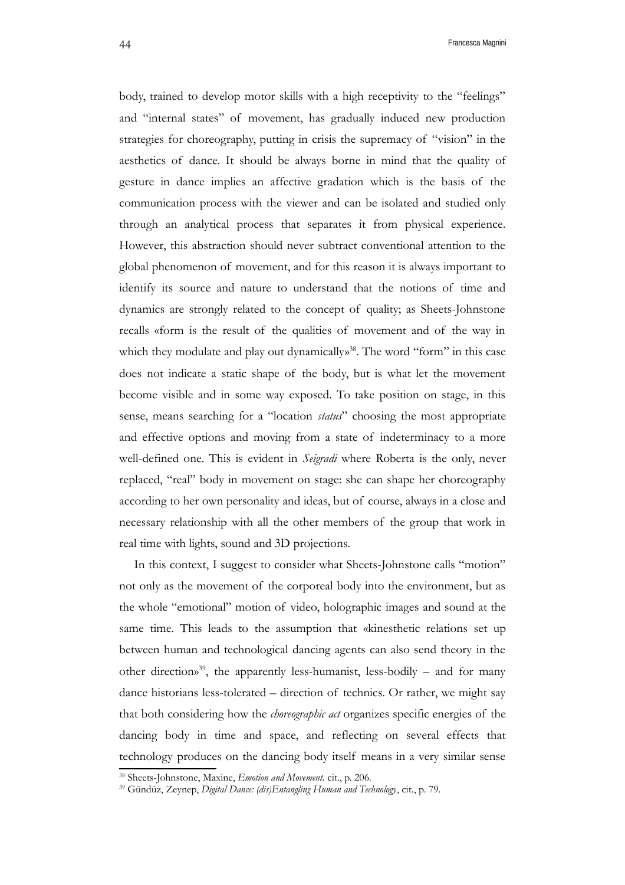body, trained to develop motor skills with a high receptivity to the "feelings" and "internal states" of movement, has gradually induced new production strategies for choreography, putting in crisis the supremacy of "vision" in the aesthetics of dance. It should be always borne in mind that the quality of gesture in dance implies an affective gradation which is the basis of the communication process with the viewer and can be isolated and studied only through an analytical process that separates it from physical experience. However, this abstraction should never subtract conventional attention to the global phenomenon of movement, and for this reason it is always important to identify its source and nature to understand that the notions of time and dynamics are strongly related to the concept of quality; as Sheets-Johnstone recalls «form is the result of the qualities of movement and of the way in which they modulate and play out dynamically»<sup>[38](#page-13-0)</sup>. The word "form" in this case does not indicate a static shape of the body, but is what let the movement become visible and in some way exposed. To take position on stage, in this sense, means searching for a "location *status*" choosing the most appropriate and effective options and moving from a state of indeterminacy to a more well-defined one. This is evident in *Seigradi* where Roberta is the only, never replaced, "real" body in movement on stage: she can shape her choreography according to her own personality and ideas, but of course, always in a close and necessary relationship with all the other members of the group that work in real time with lights, sound and 3D projections.

In this context, I suggest to consider what Sheets-Johnstone calls "motion" not only as the movement of the corporeal body into the environment, but as the whole "emotional" motion of video, holographic images and sound at the same time. This leads to the assumption that «kinesthetic relations set up between human and technological dancing agents can also send theory in the other direction» [39](#page-13-1) , the apparently less-humanist, less-bodily – and for many dance historians less-tolerated – direction of technics. Or rather, we might say that both considering how the *choreographic act* organizes specific energies of the dancing body in time and space, and reflecting on several effects that technology produces on the dancing body itself means in a very similar sense

<span id="page-13-0"></span><sup>38</sup> Sheets-Johnstone, Maxine, *Emotion and Movement.* cit., p. 206.

<span id="page-13-1"></span><sup>39</sup> Gündüz, Zeynep, *Digital Dance: (dis)Entangling Human and Technology*, cit., p. 79.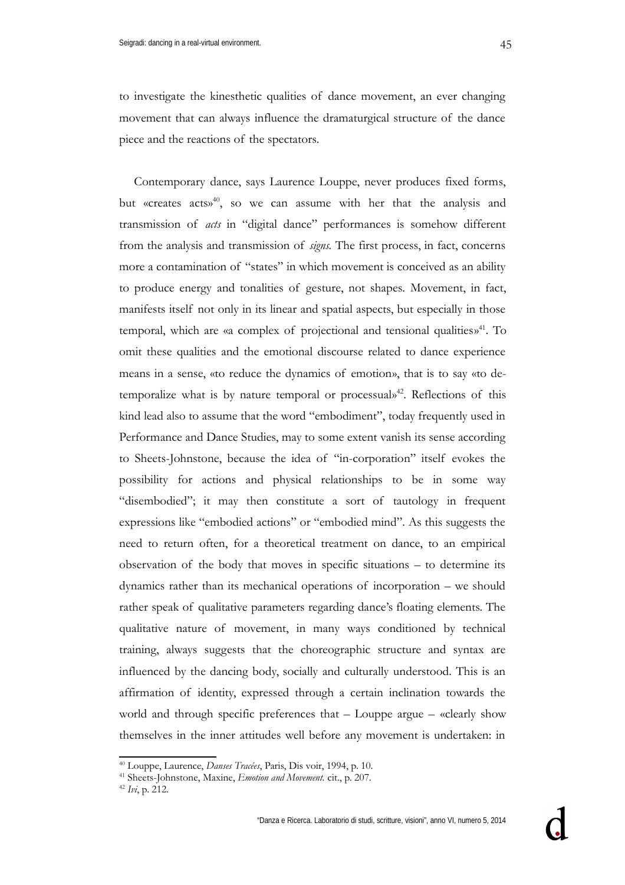to investigate the kinesthetic qualities of dance movement, an ever changing movement that can always influence the dramaturgical structure of the dance piece and the reactions of the spectators.

Contemporary dance, says Laurence Louppe, never produces fixed forms, but «creates acts» [40](#page-14-0), so we can assume with her that the analysis and transmission of *acts* in "digital dance" performances is somehow different from the analysis and transmission of *signs.* The first process, in fact, concerns more a contamination of "states" in which movement is conceived as an ability to produce energy and tonalities of gesture, not shapes. Movement, in fact, manifests itself not only in its linear and spatial aspects, but especially in those temporal, which are «a complex of projectional and tensional qualities» [41](#page-14-1). To omit these qualities and the emotional discourse related to dance experience means in a sense, «to reduce the dynamics of emotion», that is to say «to detemporalize what is by nature temporal or processual» [42](#page-14-2). Reflections of this kind lead also to assume that the word "embodiment", today frequently used in Performance and Dance Studies, may to some extent vanish its sense according to Sheets-Johnstone, because the idea of "in-corporation" itself evokes the possibility for actions and physical relationships to be in some way "disembodied"; it may then constitute a sort of tautology in frequent expressions like "embodied actions" or "embodied mind". As this suggests the need to return often, for a theoretical treatment on dance, to an empirical observation of the body that moves in specific situations – to determine its dynamics rather than its mechanical operations of incorporation – we should rather speak of qualitative parameters regarding dance's floating elements. The qualitative nature of movement, in many ways conditioned by technical training, always suggests that the choreographic structure and syntax are influenced by the dancing body, socially and culturally understood. This is an affirmation of identity, expressed through a certain inclination towards the world and through specific preferences that – Louppe argue – «clearly show themselves in the inner attitudes well before any movement is undertaken: in

<span id="page-14-0"></span><sup>40</sup> Louppe, Laurence, *Danses Tracées*, Paris, Dis voir, 1994, p. 10.

<span id="page-14-1"></span><sup>41</sup> Sheets-Johnstone, Maxine, *Emotion and Movement.* cit., p. 207.

<span id="page-14-2"></span><sup>42</sup> *Ivi*, p. 212.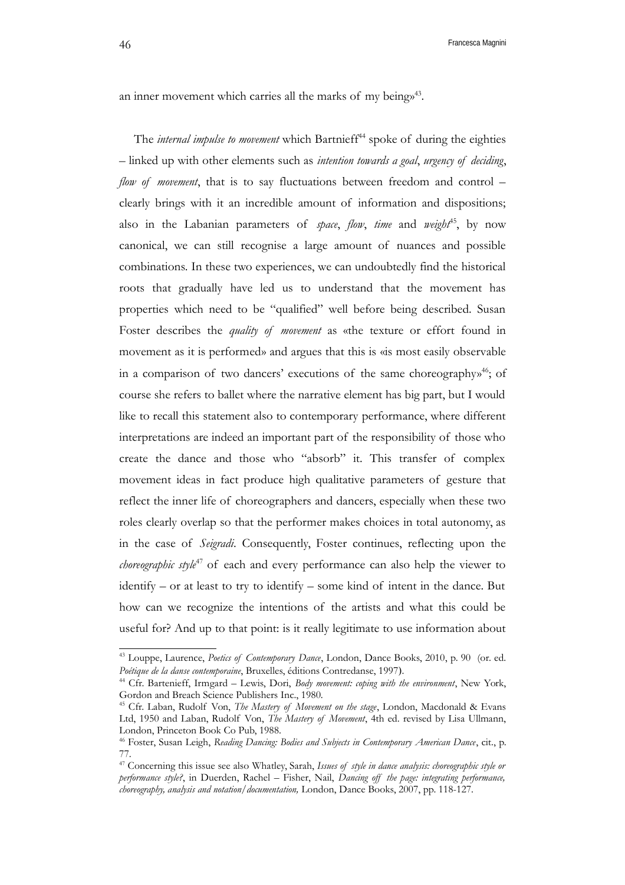an inner movement which carries all the marks of my being»<sup>[43](#page-15-0)</sup>.

The *internal impulse to movement* which Bartnieff<sup>[44](#page-15-1)</sup> spoke of during the eighties – linked up with other elements such as *intention towards a goal*, *urgency of deciding*, *flow of movement*, that is to say fluctuations between freedom and control – clearly brings with it an incredible amount of information and dispositions; also in the Labanian parameters of *space*, *flow*, *time* and *weight*<sup>[45](#page-15-2)</sup>, by now canonical, we can still recognise a large amount of nuances and possible combinations. In these two experiences, we can undoubtedly find the historical roots that gradually have led us to understand that the movement has properties which need to be "qualified" well before being described. Susan Foster describes the *quality of movement* as «the texture or effort found in movement as it is performed» and argues that this is «is most easily observable in a comparison of two dancers' executions of the same choreography» [46](#page-15-3); of course she refers to ballet where the narrative element has big part, but I would like to recall this statement also to contemporary performance, where different interpretations are indeed an important part of the responsibility of those who create the dance and those who "absorb" it. This transfer of complex movement ideas in fact produce high qualitative parameters of gesture that reflect the inner life of choreographers and dancers, especially when these two roles clearly overlap so that the performer makes choices in total autonomy, as in the case of *Seigradi*. Consequently, Foster continues, reflecting upon the *choreographic style*<sup>[47](#page-15-4)</sup> of each and every performance can also help the viewer to identify – or at least to try to identify – some kind of intent in the dance. But how can we recognize the intentions of the artists and what this could be useful for? And up to that point: is it really legitimate to use information about

<span id="page-15-0"></span><sup>43</sup> Louppe, Laurence, *Poetics of Contemporary Dance*, London, Dance Books, 2010, p. 90 (or. ed. *Poétique de la danse contemporaine*, Bruxelles, éditions Contredanse, 1997.

<span id="page-15-1"></span><sup>44</sup> Cfr. Bartenieff, Irmgard – Lewis, Dori, *Body movement: coping with the environment*, New York, Gordon and Breach Science Publishers Inc., 1980.

<span id="page-15-2"></span><sup>45</sup> Cfr. Laban, Rudolf Von, *The Mastery of Movement on the stage*, London, Macdonald & Evans Ltd, 1950 and Laban, Rudolf Von, *The Mastery of Movement*, 4th ed. revised by Lisa Ullmann, London, Princeton Book Co Pub, 1988.

<span id="page-15-3"></span><sup>46</sup> Foster, Susan Leigh, *Reading Dancing: Bodies and Subjects in Contemporary American Dance*, cit., p. 77.

<span id="page-15-4"></span><sup>47</sup> Concerning this issue see also Whatley, Sarah, *Issues of style in dance analysis: choreographic style or performance style?*, in Duerden, Rachel – Fisher, Nail, *Dancing off the page: integrating performance, choreography, analysis and notation/documentation,* London, Dance Books, 2007, pp. 118-127.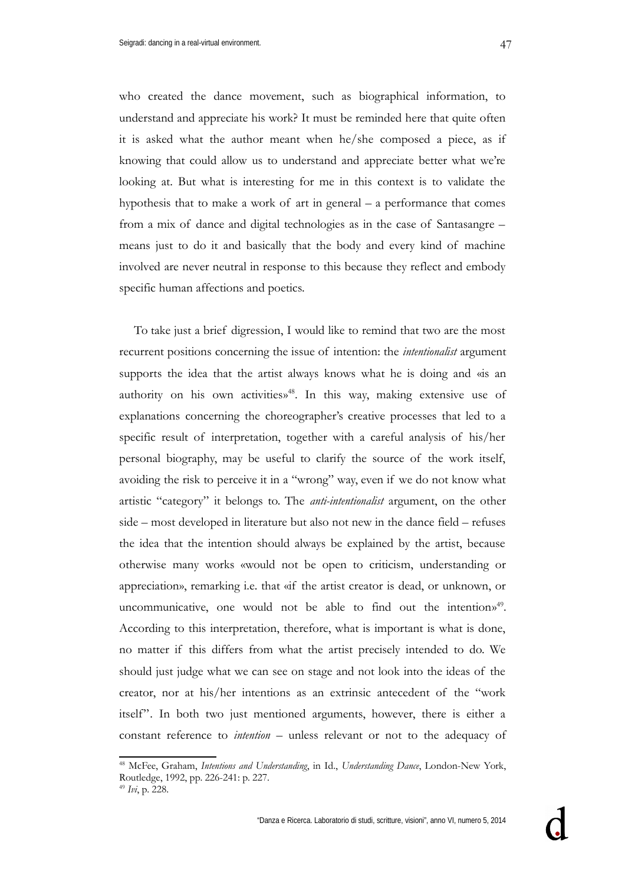47

who created the dance movement, such as biographical information, to understand and appreciate his work? It must be reminded here that quite often it is asked what the author meant when he/she composed a piece, as if knowing that could allow us to understand and appreciate better what we're looking at. But what is interesting for me in this context is to validate the hypothesis that to make a work of art in general – a performance that comes from a mix of dance and digital technologies as in the case of Santasangre – means just to do it and basically that the body and every kind of machine involved are never neutral in response to this because they reflect and embody specific human affections and poetics.

To take just a brief digression, I would like to remind that two are the most recurrent positions concerning the issue of intention: the *intentionalist* argument supports the idea that the artist always knows what he is doing and «is an authority on his own activities» [48](#page-16-0). In this way, making extensive use of explanations concerning the choreographer's creative processes that led to a specific result of interpretation, together with a careful analysis of his/her personal biography, may be useful to clarify the source of the work itself, avoiding the risk to perceive it in a "wrong" way, even if we do not know what artistic "category" it belongs to. The *anti-intentionalist* argument, on the other side – most developed in literature but also not new in the dance field – refuses the idea that the intention should always be explained by the artist, because otherwise many works «would not be open to criticism, understanding or appreciation», remarking i.e. that «if the artist creator is dead, or unknown, or uncommunicative, one would not be able to find out the intentions<sup>[49](#page-16-1)</sup>. According to this interpretation, therefore, what is important is what is done, no matter if this differs from what the artist precisely intended to do. We should just judge what we can see on stage and not look into the ideas of the creator, nor at his/her intentions as an extrinsic antecedent of the "work itself". In both two just mentioned arguments, however, there is either a constant reference to *intention* – unless relevant or not to the adequacy of

<span id="page-16-0"></span><sup>48</sup> McFee, Graham, *Intentions and Understanding*, in Id., *Understanding Dance*, London-New York, Routledge, 1992, pp. 226-241: p. 227.

<span id="page-16-1"></span><sup>49</sup> *Ivi*, p. 228.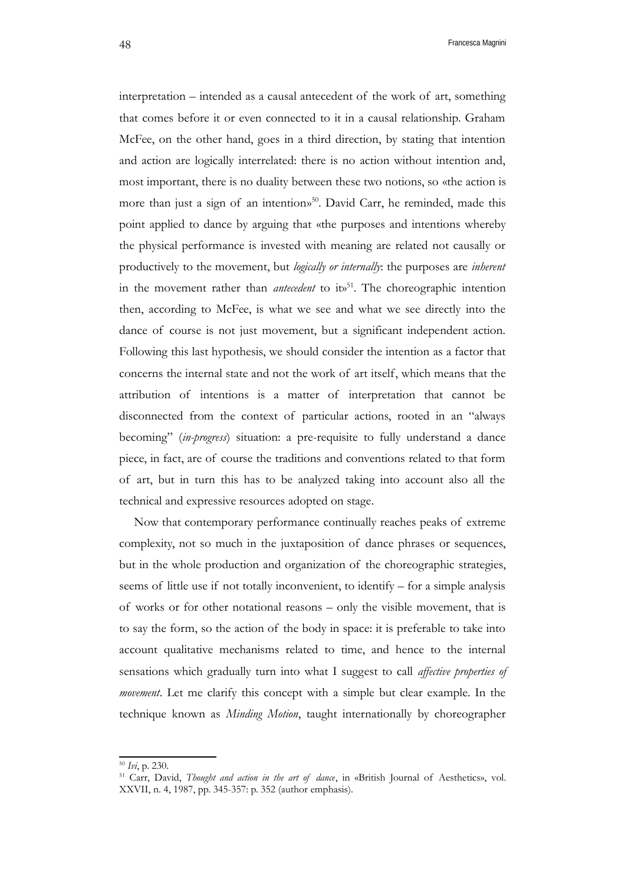interpretation – intended as a causal antecedent of the work of art, something that comes before it or even connected to it in a causal relationship. Graham McFee, on the other hand, goes in a third direction, by stating that intention and action are logically interrelated: there is no action without intention and, most important, there is no duality between these two notions, so «the action is more than just a sign of an intention» [50](#page-17-0). David Carr, he reminded, made this point applied to dance by arguing that «the purposes and intentions whereby the physical performance is invested with meaning are related not causally or productively to the movement, but *logically or internally*: the purposes are *inherent* in the movement rather than *antecedent* to it<sup>[51](#page-17-1)</sup>. The choreographic intention then, according to McFee, is what we see and what we see directly into the dance of course is not just movement, but a significant independent action. Following this last hypothesis, we should consider the intention as a factor that concerns the internal state and not the work of art itself, which means that the attribution of intentions is a matter of interpretation that cannot be disconnected from the context of particular actions, rooted in an "always becoming" (*in-progress*) situation: a pre-requisite to fully understand a dance piece, in fact, are of course the traditions and conventions related to that form of art, but in turn this has to be analyzed taking into account also all the technical and expressive resources adopted on stage.

Now that contemporary performance continually reaches peaks of extreme complexity, not so much in the juxtaposition of dance phrases or sequences, but in the whole production and organization of the choreographic strategies, seems of little use if not totally inconvenient, to identify – for a simple analysis of works or for other notational reasons – only the visible movement, that is to say the form, so the action of the body in space: it is preferable to take into account qualitative mechanisms related to time, and hence to the internal sensations which gradually turn into what I suggest to call *affective properties of movement*. Let me clarify this concept with a simple but clear example. In the technique known as *Minding Motion*, taught internationally by choreographer

<span id="page-17-0"></span><sup>50</sup> *Ivi*, p. 230.

<span id="page-17-1"></span><sup>51</sup> Carr, David, *Thought and action in the art of dance*, in «British Journal of Aesthetics», vol. XXVII, n. 4, 1987, pp. 345-357: p. 352 (author emphasis).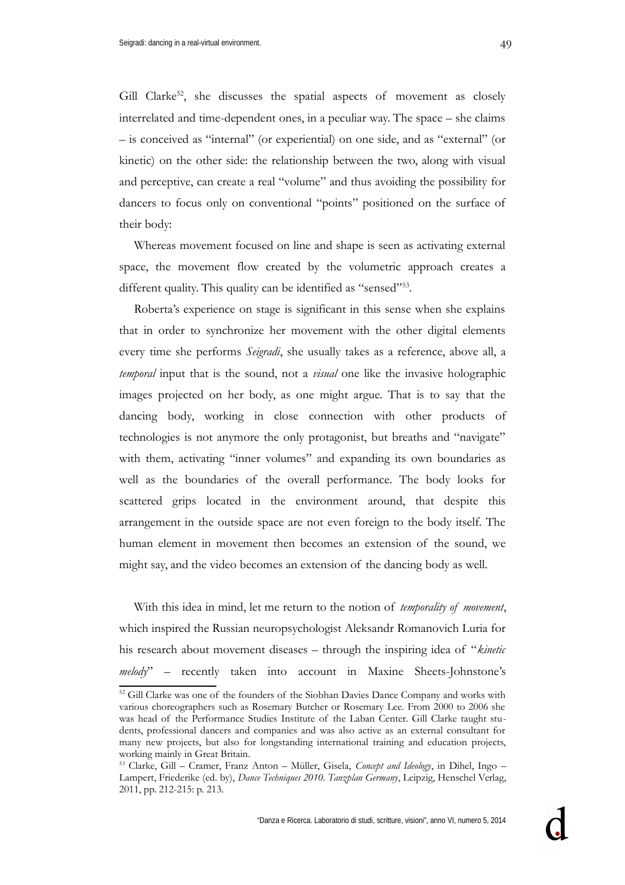Gill Clarke<sup>[52](#page-18-0)</sup>, she discusses the spatial aspects of movement as closely

interrelated and time-dependent ones, in a peculiar way. The space – she claims – is conceived as "internal" (or experiential) on one side, and as "external" (or kinetic) on the other side: the relationship between the two, along with visual and perceptive, can create a real "volume" and thus avoiding the possibility for dancers to focus only on conventional "points" positioned on the surface of their body:

Whereas movement focused on line and shape is seen as activating external space, the movement flow created by the volumetric approach creates a different quality. This quality can be identified as "sensed"<sup>[53](#page-18-1)</sup>.

Roberta's experience on stage is significant in this sense when she explains that in order to synchronize her movement with the other digital elements every time she performs *Seigradi*, she usually takes as a reference, above all, a *temporal* input that is the sound, not a *visual* one like the invasive holographic images projected on her body, as one might argue. That is to say that the dancing body, working in close connection with other products of technologies is not anymore the only protagonist, but breaths and "navigate" with them, activating "inner volumes" and expanding its own boundaries as well as the boundaries of the overall performance. The body looks for scattered grips located in the environment around, that despite this arrangement in the outside space are not even foreign to the body itself. The human element in movement then becomes an extension of the sound, we might say, and the video becomes an extension of the dancing body as well.

With this idea in mind, let me return to the notion of *temporality of movement*, which inspired the Russian neuropsychologist Aleksandr Romanovich Luria for his research about movement diseases – through the inspiring idea of "*kinetic melody*" – recently taken into account in Maxine Sheets-Johnstone's

<span id="page-18-0"></span><sup>&</sup>lt;sup>52</sup> Gill Clarke was one of the founders of the Siobhan Davies Dance Company and works with various choreographers such as Rosemary Butcher or Rosemary Lee. From 2000 to 2006 she was head of the Performance Studies Institute of the Laban Center. Gill Clarke taught students, professional dancers and companies and was also active as an external consultant for many new projects, but also for longstanding international training and education projects, working mainly in Great Britain.

<span id="page-18-1"></span><sup>53</sup> Clarke, Gill – Cramer, Franz Anton – Müller, Gisela, *Concept and Ideology*, in Dihel, Ingo – Lampert, Friederike (ed. by), *Dance Techniques 2010. Tanzplan Germany*, Leipzig, Henschel Verlag, 2011, pp. 212-215: p. 213.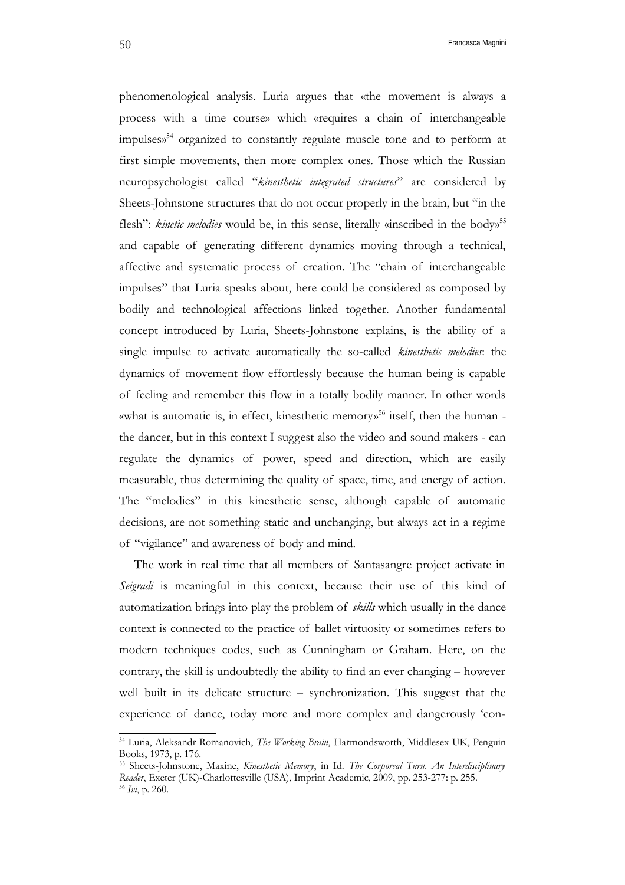phenomenological analysis. Luria argues that «the movement is always a process with a time course» which «requires a chain of interchangeable impulses» [54](#page-19-0) organized to constantly regulate muscle tone and to perform at first simple movements, then more complex ones. Those which the Russian neuropsychologist called "*kinesthetic integrated structures*" are considered by Sheets-Johnstone structures that do not occur properly in the brain, but "in the flesh": kinetic melodies would be, in this sense, literally «inscribed in the body»<sup>[55](#page-19-1)</sup> and capable of generating different dynamics moving through a technical, affective and systematic process of creation. The "chain of interchangeable impulses" that Luria speaks about, here could be considered as composed by bodily and technological affections linked together. Another fundamental concept introduced by Luria, Sheets-Johnstone explains, is the ability of a single impulse to activate automatically the so-called *kinesthetic melodies*: the dynamics of movement flow effortlessly because the human being is capable of feeling and remember this flow in a totally bodily manner. In other words «what is automatic is, in effect, kinesthetic memory» [56](#page-19-2) itself, then the human the dancer, but in this context I suggest also the video and sound makers - can regulate the dynamics of power, speed and direction, which are easily measurable, thus determining the quality of space, time, and energy of action. The "melodies" in this kinesthetic sense, although capable of automatic decisions, are not something static and unchanging, but always act in a regime of "vigilance" and awareness of body and mind.

The work in real time that all members of Santasangre project activate in *Seigradi* is meaningful in this context, because their use of this kind of automatization brings into play the problem of *skills* which usually in the dance context is connected to the practice of ballet virtuosity or sometimes refers to modern techniques codes, such as Cunningham or Graham. Here, on the contrary, the skill is undoubtedly the ability to find an ever changing – however well built in its delicate structure – synchronization. This suggest that the experience of dance, today more and more complex and dangerously 'con-

<span id="page-19-0"></span><sup>54</sup> Luria, Aleksandr Romanovich, *The Working Brain*, Harmondsworth, Middlesex UK, Penguin Books, 1973, p. 176.

<span id="page-19-2"></span><span id="page-19-1"></span><sup>55</sup> Sheets-Johnstone, Maxine, *Kinesthetic Memory*, in Id. *The Corporeal Turn. An Interdisciplinary Reader*, Exeter (UK)-Charlottesville (USA), Imprint Academic, 2009, pp. 253-277: p. 255. <sup>56</sup> *Ivi*, p. 260.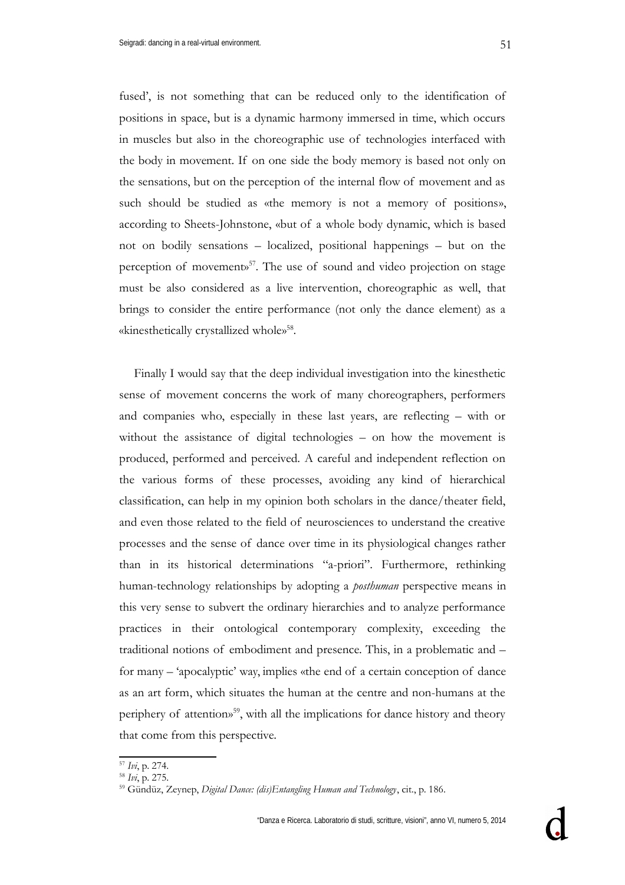fused', is not something that can be reduced only to the identification of positions in space, but is a dynamic harmony immersed in time, which occurs in muscles but also in the choreographic use of technologies interfaced with the body in movement. If on one side the body memory is based not only on the sensations, but on the perception of the internal flow of movement and as such should be studied as «the memory is not a memory of positions», according to Sheets-Johnstone, «but of a whole body dynamic, which is based not on bodily sensations – localized, positional happenings – but on the perception of movement»<sup>[57](#page-20-0)</sup>. The use of sound and video projection on stage must be also considered as a live intervention, choreographic as well, that brings to consider the entire performance (not only the dance element) as a «kinesthetically crystallized whole» [58](#page-20-1) .

Finally I would say that the deep individual investigation into the kinesthetic sense of movement concerns the work of many choreographers, performers and companies who, especially in these last years, are reflecting – with or without the assistance of digital technologies – on how the movement is produced, performed and perceived. A careful and independent reflection on the various forms of these processes, avoiding any kind of hierarchical classification, can help in my opinion both scholars in the dance/theater field, and even those related to the field of neurosciences to understand the creative processes and the sense of dance over time in its physiological changes rather than in its historical determinations "a-priori". Furthermore, rethinking human-technology relationships by adopting a *posthuman* perspective means in this very sense to subvert the ordinary hierarchies and to analyze performance practices in their ontological contemporary complexity, exceeding the traditional notions of embodiment and presence. This, in a problematic and – for many – 'apocalyptic' way, implies «the end of a certain conception of dance as an art form, which situates the human at the centre and non-humans at the periphery of attention» [59](#page-20-2), with all the implications for dance history and theory that come from this perspective.

<span id="page-20-0"></span><sup>57</sup> *Ivi*, p. 274.

<span id="page-20-1"></span><sup>58</sup> *Ivi*, p. 275.

<span id="page-20-2"></span><sup>59</sup> Gündüz, Zeynep, *Digital Dance: (dis)Entangling Human and Technology*, cit., p. 186.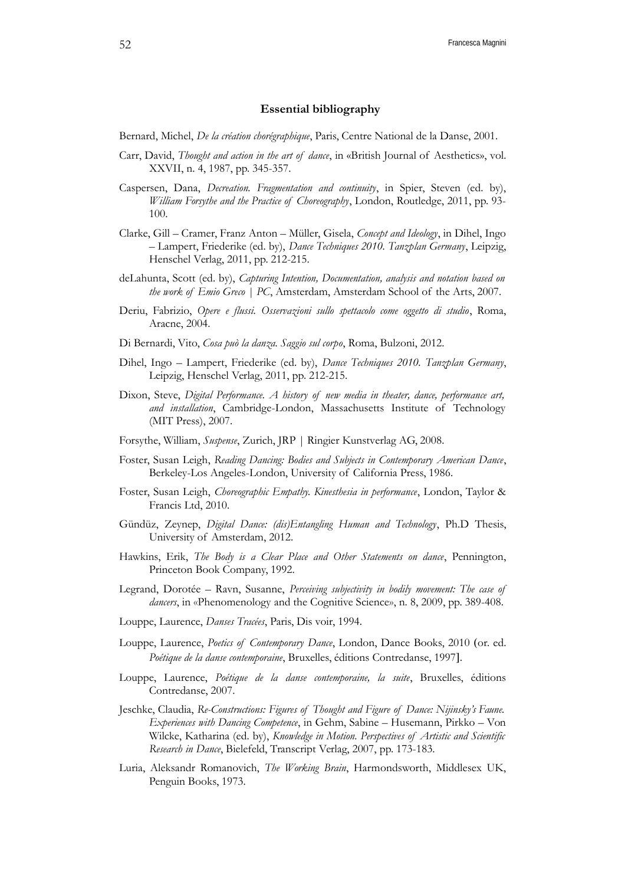## **Essential bibliography**

Bernard, Michel, *De la création chorégraphique*, Paris, Centre National de la Danse, 2001.

- Carr, David, *Thought and action in the art of dance*, in «British Journal of Aesthetics», vol. XXVII, n. 4, 1987, pp. 345-357.
- Caspersen, Dana, *Decreation. Fragmentation and continuity*, in Spier, Steven (ed. by), *William Forsythe and the Practice of Choreography*, London, Routledge, 2011, pp. 93- 100.
- Clarke, Gill Cramer, Franz Anton Müller, Gisela, *Concept and Ideology*, in Dihel, Ingo – Lampert, Friederike (ed. by), *Dance Techniques 2010. Tanzplan Germany*, Leipzig, Henschel Verlag, 2011, pp. 212-215.
- deLahunta, Scott (ed. by), *Capturing Intention, Documentation, analysis and notation based on the work of Emio Greco | PC*, Amsterdam, Amsterdam School of the Arts, 2007.
- Deriu, Fabrizio, *Opere e flussi. Osservazioni sullo spettacolo come oggetto di studio*, Roma, Aracne, 2004.
- Di Bernardi, Vito, *Cosa può la danza. Saggio sul corpo*, Roma, Bulzoni, 2012.
- Dihel, Ingo Lampert, Friederike (ed. by), *Dance Techniques 2010. Tanzplan Germany*, Leipzig, Henschel Verlag, 2011, pp. 212-215.
- Dixon, Steve, *Digital Performance. A history of new media in theater, dance, performance art, and installation*, Cambridge-London, Massachusetts Institute of Technology (MIT Press), 2007.
- Forsythe, William, *Suspense*, Zurich, JRP | Ringier Kunstverlag AG, 2008.
- Foster, Susan Leigh, *Reading Dancing: Bodies and Subjects in Contemporary American Dance*, Berkeley-Los Angeles-London, University of California Press, 1986.
- Foster, Susan Leigh, *Choreographic Empathy. Kinesthesia in performance*, London, Taylor & Francis Ltd, 2010.
- Gündüz, Zeynep, *Digital Dance: (dis)Entangling Human and Technology*, Ph.D Thesis, University of Amsterdam, 2012.
- Hawkins, Erik, *The Body is a Clear Place and Other Statements on dance*, Pennington, Princeton Book Company, 1992.
- Legrand, Dorotée Ravn, Susanne, *Perceiving subjectivity in bodily movement: The case of dancers*, in «Phenomenology and the Cognitive Science», n. 8, 2009, pp. 389-408.
- Louppe, Laurence, *Danses Tracées*, Paris, Dis voir, 1994.
- Louppe, Laurence, *Poetics of Contemporary Dance*, London, Dance Books, 2010 (or. ed. *Poétique de la danse contemporaine*, Bruxelles, éditions Contredanse, 1997.
- Louppe, Laurence, *Poétique de la danse contemporaine, la suite*, Bruxelles, éditions Contredanse, 2007.
- Jeschke, Claudia, *Re-Constructions: Figures of Thought and Figure of Dance: Nijinsky's Faune. Experiences with Dancing Competence*, in Gehm, Sabine – Husemann, Pirkko – Von Wilcke, Katharina (ed. by), *Knowledge in Motion. Perspectives of Artistic and Scientific Research in Dance*, Bielefeld, Transcript Verlag, 2007, pp. 173-183.
- Luria, Aleksandr Romanovich, *The Working Brain*, Harmondsworth, Middlesex UK, Penguin Books, 1973.